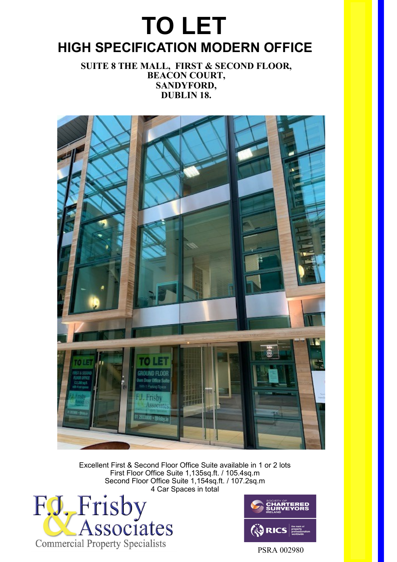## **TO LET HIGH SPECIFICATION MODERN OFFICE**

**SUITE 8 THE MALL, FIRST & SECOND FLOOR, BEACON COURT, SANDYFORD, DUBLIN 18.**



Excellent First & Second Floor Office Suite available in 1 or 2 lots First Floor Office Suite 1,135sq.ft. / 105.4sq.m Second Floor Office Suite 1,154sq.ft. / 107.2sq.m